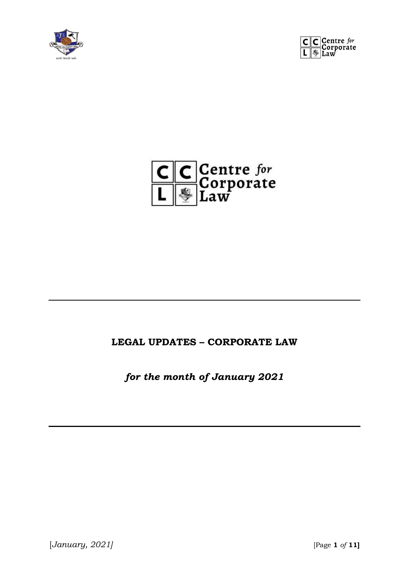





#### **LEGAL UPDATES – CORPORATE LAW**

*for the month of January 2021*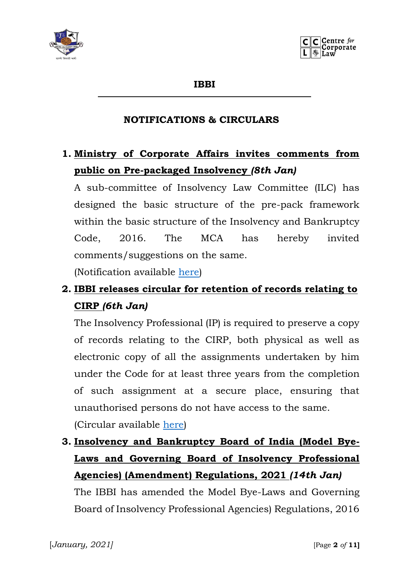



**IBBI**

#### **NOTIFICATIONS & CIRCULARS**

### **1. Ministry of Corporate Affairs invites comments from public on Pre-packaged Insolvency** *(8th Jan)*

A sub-committee of Insolvency Law Committee (ILC) has designed the basic structure of the pre-pack framework within the basic structure of the Insolvency and Bankruptcy Code, 2016. The MCA has hereby invited comments/suggestions on the same.

(Notification available [here\)](https://ibbi.gov.in/uploads/whatsnew/34f5c5b6fb00a97dc4ab752a798d9ce3.pdf)

### **2. IBBI releases circular for retention of records relating to CIRP** *(6th Jan)*

The Insolvency Professional (IP) is required to preserve a copy of records relating to the CIRP, both physical as well as electronic copy of all the assignments undertaken by him under the Code for at least three years from the completion of such assignment at a secure place, ensuring that unauthorised persons do not have access to the same. (Circular available [here\)](https://ibbi.gov.in/uploads/legalframwork/f8d420c06d50a94068157e0324067d26.pdf)

## **3. Insolvency and Bankruptcy Board of India (Model Bye-Laws and Governing Board of Insolvency Professional Agencies) (Amendment) Regulations, 2021** *(14th Jan)*

The IBBI has amended the Model Bye-Laws and Governing Board of Insolvency Professional Agencies) Regulations, 2016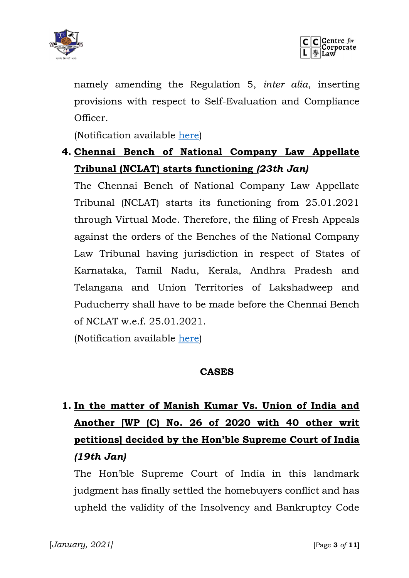



namely amending the Regulation 5, *inter alia*, inserting provisions with respect to Self-Evaluation and Compliance Officer.

(Notification available [here\)](https://ibbi.gov.in/uploads/legalframwork/d4ee22fc271516082e29f7c93d39c4b3.pdf)

### **4. Chennai Bench of National Company Law Appellate Tribunal (NCLAT) starts functioning** *(23th Jan)*

The Chennai Bench of National Company Law Appellate Tribunal (NCLAT) starts its functioning from 25.01.2021 through Virtual Mode. Therefore, the filing of Fresh Appeals against the orders of the Benches of the National Company Law Tribunal having jurisdiction in respect of States of Karnataka, Tamil Nadu, Kerala, Andhra Pradesh and Telangana and Union Territories of Lakshadweep and Puducherry shall have to be made before the Chennai Bench of NCLAT w.e.f. 25.01.2021.

(Notification available [here\)](https://ibbi.gov.in/uploads/whatsnew/578f10fc72e802e5936f3b203cf7cee1.pdf)

#### **CASES**

# **1. In the matter of Manish Kumar Vs. Union of India and Another [WP (C) No. 26 of 2020 with 40 other writ petitions] decided by the Hon'ble Supreme Court of India**  *(19th Jan)*

The Hon'ble Supreme Court of India in this landmark judgment has finally settled the homebuyers conflict and has upheld the validity of the Insolvency and Bankruptcy Code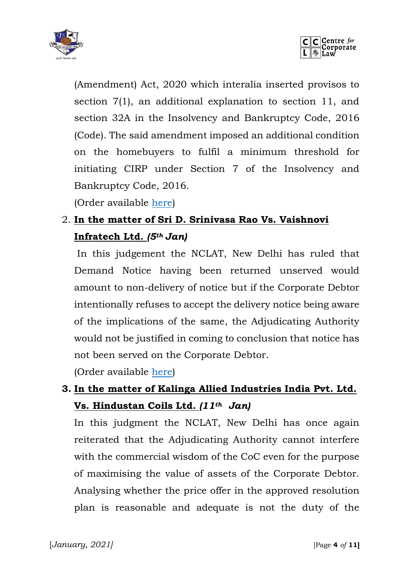



(Amendment) Act, 2020 which interalia inserted provisos to section 7(1), an additional explanation to section 11, and section 32A in the Insolvency and Bankruptcy Code, 2016 (Code). The said amendment imposed an additional condition on the homebuyers to fulfil a minimum threshold for initiating CIRP under Section 7 of the Insolvency and Bankruptcy Code, 2016.

(Order available [here\)](https://ibbi.gov.in/uploads/order/e501b1edf529aa6e4148b63d28e19078.pdf)

## 2. **In the matter of Sri D. Srinivasa Rao Vs. Vaishnovi Infratech Ltd.** *(5th Jan)*

In this judgement the NCLAT, New Delhi has ruled that Demand Notice having been returned unserved would amount to non-delivery of notice but if the Corporate Debtor intentionally refuses to accept the delivery notice being aware of the implications of the same, the Adjudicating Authority would not be justified in coming to conclusion that notice has not been served on the Corporate Debtor.

(Order available [here\)](https://ibbi.gov.in/uploads/order/1e843703bfe9a9cfe65a4ea6bb9cc5bc.pdf)

### **3. In the matter of Kalinga Allied Industries India Pvt. Ltd. Vs. Hindustan Coils Ltd.** *(11th Jan)*

In this judgment the NCLAT, New Delhi has once again reiterated that the Adjudicating Authority cannot interfere with the commercial wisdom of the CoC even for the purpose of maximising the value of assets of the Corporate Debtor. Analysing whether the price offer in the approved resolution plan is reasonable and adequate is not the duty of the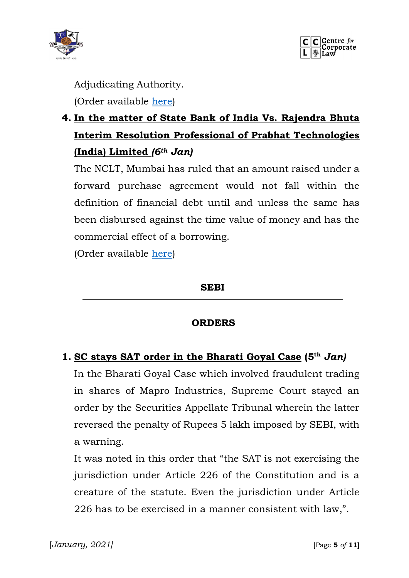



Adjudicating Authority.

(Order available [here\)](https://ibbi.gov.in/uploads/order/c33683940125ed6846b9342b9593f4c0.pdf)

## **4. In the matter of State Bank of India Vs. Rajendra Bhuta Interim Resolution Professional of Prabhat Technologies (India) Limited** *(6th Jan)*

The NCLT, Mumbai has ruled that an amount raised under a forward purchase agreement would not fall within the definition of financial debt until and unless the same has been disbursed against the time value of money and has the commercial effect of a borrowing.

(Order available [here\)](https://ibbi.gov.in/uploads/order/3fd545c17e2d21cff1d887bcdae270aa.pdf)

#### **SEBI**

#### **ORDERS**

#### **1. SC stays SAT order in the Bharati Goyal Case (5 th** *Jan)*

In the Bharati Goyal Case which involved fraudulent trading in shares of Mapro Industries, Supreme Court stayed an order by the Securities Appellate Tribunal wherein the latter reversed the penalty of Rupees 5 lakh imposed by SEBI, with a warning.

It was noted in this order that "the SAT is not exercising the jurisdiction under Article 226 of the Constitution and is a creature of the statute. Even the jurisdiction under Article 226 has to be exercised in a manner consistent with law,".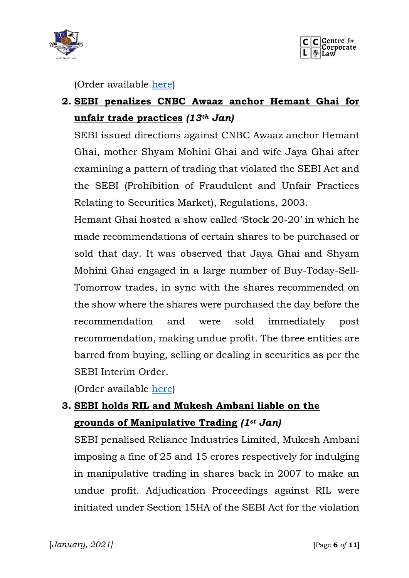



(Order available [here\)](https://www.sebi.gov.in/enforcement/orders/jan-2021/c-a-no-3596-3597-of-2020-sebi-vs-bharati-goyal-etc-_48868.html)

## **2. SEBI penalizes CNBC Awaaz anchor Hemant Ghai for unfair trade practices** *(13th Jan)*

SEBI issued directions against CNBC Awaaz anchor Hemant Ghai, mother Shyam Mohini Ghai and wife Jaya Ghai after examining a pattern of trading that violated the SEBI Act and the SEBI (Prohibition of Fraudulent and Unfair Practices Relating to Securities Market), Regulations, 2003.

Hemant Ghai hosted a show called 'Stock 20-20' in which he made recommendations of certain shares to be purchased or sold that day. It was observed that Jaya Ghai and Shyam Mohini Ghai engaged in a large number of Buy-Today-Sell-Tomorrow trades, in sync with the shares recommended on the show where the shares were purchased the day before the recommendation and were sold immediately post recommendation, making undue profit. The three entities are barred from buying, selling or dealing in securities as per the SEBI Interim Order.

(Order available [here\)](https://www.sebi.gov.in/enforcement/orders/jan-2021/interim-order-dated-january-13-2021-in-the-matter-of-cnbc-awaaz-stock-20-20-show-co-hosted-by-mr-hemant-ghai_48743.html)

## **3. SEBI holds RIL and Mukesh Ambani liable on the grounds of Manipulative Trading** *(1st Jan)*

SEBI penalised Reliance Industries Limited, Mukesh Ambani imposing a fine of 25 and 15 crores respectively for indulging in manipulative trading in shares back in 2007 to make an undue profit. Adjudication Proceedings against RIL were initiated under Section 15HA of the SEBI Act for the violation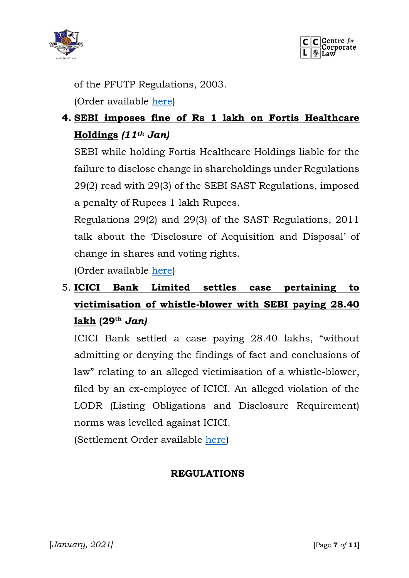



of the PFUTP Regulations, 2003.

(Order available [here\)](https://www.sebi.gov.in/enforcement/orders/jan-2021/adjudication-order-in-respect-4-entities-in-the-matter-of-reliance-petroleum-limited_48637.html)

## **4. SEBI imposes fine of Rs 1 lakh on Fortis Healthcare Holdings** *(11th Jan)*

SEBI while holding Fortis Healthcare Holdings liable for the failure to disclose change in shareholdings under Regulations 29(2) read with 29(3) of the SEBI SAST Regulations, imposed a penalty of Rupees 1 lakh Rupees.

Regulations 29(2) and 29(3) of the SAST Regulations, 2011 talk about the 'Disclosure of Acquisition and Disposal' of change in shares and voting rights.

(Order available [here\)](https://www.sebi.gov.in/enforcement/orders/jan-2021/adjudication-order-in-respect-of-fortis-healthcare-holdings-pvt-ltd-_48718.html)

## 5. **ICICI Bank Limited settles case pertaining to victimisation of whistle-blower with SEBI paying 28.40 lakh (29th** *Jan)*

ICICI Bank settled a case paying 28.40 lakhs, "without admitting or denying the findings of fact and conclusions of law" relating to an alleged victimisation of a whistle-blower, filed by an ex-employee of ICICI. An alleged violation of the LODR (Listing Obligations and Disclosure Requirement) norms was levelled against ICICI.

(Settlement Order available [here\)](https://www.sebi.gov.in/enforcement/orders/jan-2021/settlement-order-in-the-matter-of-icici-bank-limited_48928.html)

#### **REGULATIONS**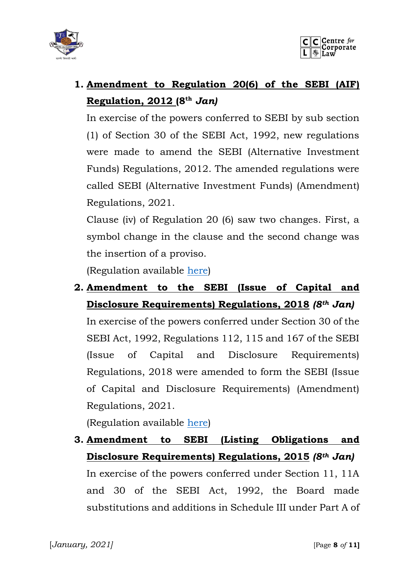



# **1. Amendment to Regulation 20(6) of the SEBI (AIF) Regulation, 2012 (8 th** *Jan)*

In exercise of the powers conferred to SEBI by sub section (1) of Section 30 of the SEBI Act, 1992, new regulations were made to amend the SEBI (Alternative Investment Funds) Regulations, 2012. The amended regulations were called SEBI (Alternative Investment Funds) (Amendment) Regulations, 2021.

Clause (iv) of Regulation 20 (6) saw two changes. First, a symbol change in the clause and the second change was the insertion of a proviso.

(Regulation available [here\)](https://www.sebi.gov.in/legal/regulations/jan-2021/securities-and-exchange-board-of-india-alternative-investment-funds-amendment-regulations-2021_48708.html)

**2. Amendment to the SEBI (Issue of Capital and Disclosure Requirements) Regulations, 2018** *(8th Jan)* 

In exercise of the powers conferred under Section 30 of the SEBI Act, 1992, Regulations 112, 115 and 167 of the SEBI (Issue of Capital and Disclosure Requirements) Regulations, 2018 were amended to form the SEBI (Issue of Capital and Disclosure Requirements) (Amendment) Regulations, 2021.

(Regulation available [here\)](https://www.sebi.gov.in/legal/regulations/jan-2021/securities-and-exchange-board-of-india-issue-of-capital-and-disclosure-requirements-amendment-regulations-2021_48704.html)

**3. Amendment to SEBI (Listing Obligations and Disclosure Requirements) Regulations, 2015** *(8th Jan)* In exercise of the powers conferred under Section 11, 11A and 30 of the SEBI Act, 1992, the Board made substitutions and additions in Schedule III under Part A of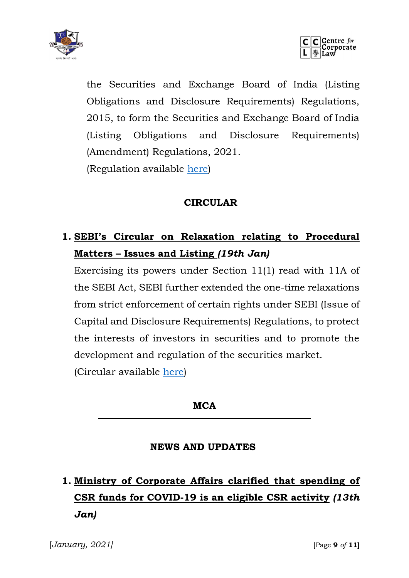



the Securities and Exchange Board of India (Listing Obligations and Disclosure Requirements) Regulations, 2015, to form the Securities and Exchange Board of India (Listing Obligations and Disclosure Requirements) (Amendment) Regulations, 2021. (Regulation available [here\)](https://www.sebi.gov.in/legal/regulations/jan-2021/securities-and-exchange-board-of-india-listing-obligations-and-disclosure-requirements-amendment-regulations-2021_48709.html)

#### **CIRCULAR**

## **1. SEBI's Circular on Relaxation relating to Procedural Matters – Issues and Listing** *(19th Jan)*

Exercising its powers under Section 11(1) read with 11A of the SEBI Act, SEBI further extended the one-time relaxations from strict enforcement of certain rights under SEBI (Issue of Capital and Disclosure Requirements) Regulations, to protect the interests of investors in securities and to promote the development and regulation of the securities market. (Circular available [here\)](https://www.sebi.gov.in/legal/circulars/jan-2021/relaxations-relating-to-procedural-matters-issues-and-listing_48812.html)

**MCA**

#### **NEWS AND UPDATES**

# **1. Ministry of Corporate Affairs clarified that spending of CSR funds for COVID-19 is an eligible CSR activity** *(13th Jan)*

[*January, 2021]* [Page **9** *of* **11]**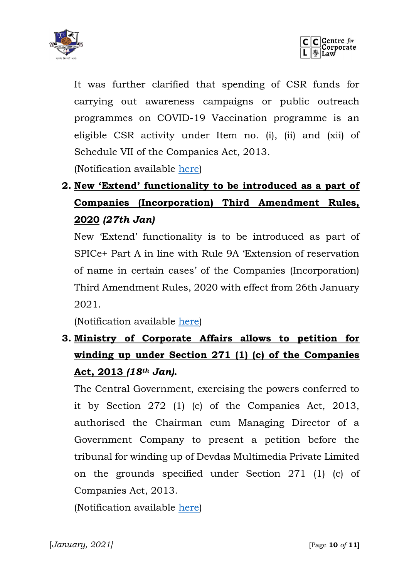



It was further clarified that spending of CSR funds for carrying out awareness campaigns or public outreach programmes on COVID-19 Vaccination programme is an eligible CSR activity under Item no. (i), (ii) and (xii) of Schedule VII of the Companies Act, 2013. (Notification available [here\)](http://www.mca.gov.in/Ministry/pdf/CSR2021_13012021.pdf)

# **2. New 'Extend' functionality to be introduced as a part of Companies (Incorporation) Third Amendment Rules, 2020** *(27th Jan)*

New 'Extend' functionality is to be introduced as part of SPICe+ Part A in line with Rule 9A 'Extension of reservation of name in certain cases' of the Companies (Incorporation) Third Amendment Rules, 2020 with effect from 26th January 2021.

(Notification available [here\)](https://blog.saginfotech.com/wp-content/uploads/2021/01/CSR2021_13012021.pdf)

## **3. Ministry of Corporate Affairs allows to petition for winding up under Section 271 (1) (c) of the Companies Act, 2013** *(18th Jan).*

The Central Government, exercising the powers conferred to it by Section 272 (1) (c) of the Companies Act, 2013, authorised the Chairman cum Managing Director of a Government Company to present a petition before the tribunal for winding up of Devdas Multimedia Private Limited on the grounds specified under Section 271 (1) (c) of Companies Act, 2013.

(Notification available [here\)](http://www.mca.gov.in/Ministry/pdf/NotificationAuthorization_20012021.pdf)